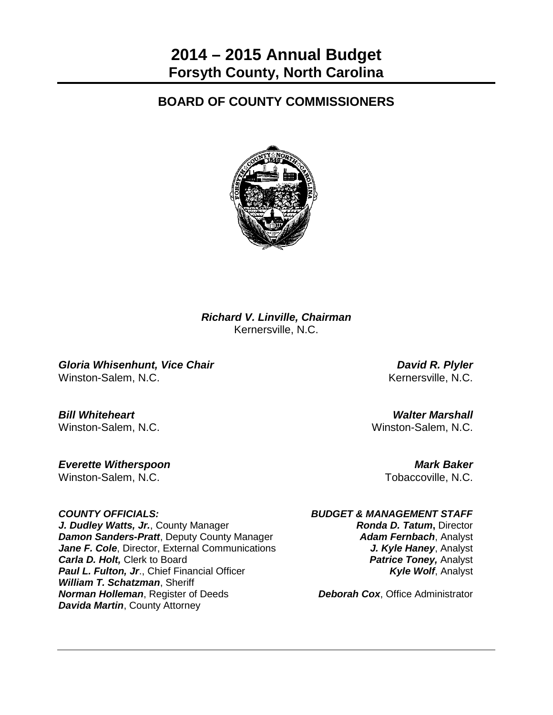# **BOARD OF COUNTY COMMISSIONERS**



*Richard V. Linville, Chairman* Kernersville, N.C.

*Gloria Whisenhunt, Vice Chair David R. Plyler* Winston-Salem, N.C. **Kernersville, N.C.** Kernersville, N.C.

*Bill Whiteheart Walter Marshall*

*Everette Witherspoon Mark Baker* Winston-Salem, N.C. **The Contract of Contract Contract Contract Contract Contract Contract Contract Contract Contract Contract Contract Contract Contract Contract Contract Contract Contract Contract Contract Contract Contr** 

*J. Dudley Watts, Jr., County Manager Ronda D. Tatum, Director* **Damon Sanders-Pratt**, Deputy County Manager **Adam Fernbach**, Analyst **Jane F. Cole**, Director, External Communications **J. Kyle Haney**, Analyst **Carla D. Holt,** Clerk to Board *Patrice Toney, Analyst Patrice Toney, Analyst* **Paul L. Fulton, Jr., Chief Financial Officer** *Kyle Wolf***, Analyst** *Kyle Wolf, Analyst William T. Schatzman*, Sheriff *Norman Holleman*, Register of Deeds *Deborah Cox*, Office Administrator *Davida Martin*, County Attorney

Winston-Salem, N.C. Winston-Salem, N.C.

# *COUNTY OFFICIALS: BUDGET & MANAGEMENT STAFF*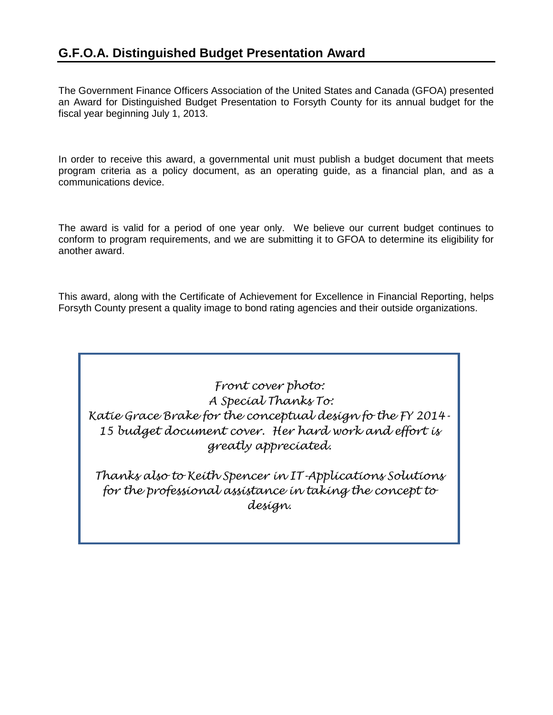# **G.F.O.A. Distinguished Budget Presentation Award**

The Government Finance Officers Association of the United States and Canada (GFOA) presented an Award for Distinguished Budget Presentation to Forsyth County for its annual budget for the fiscal year beginning July 1, 2013.

In order to receive this award, a governmental unit must publish a budget document that meets program criteria as a policy document, as an operating guide, as a financial plan, and as a communications device.

The award is valid for a period of one year only. We believe our current budget continues to conform to program requirements, and we are submitting it to GFOA to determine its eligibility for another award.

This award, along with the Certificate of Achievement for Excellence in Financial Reporting, helps Forsyth County present a quality image to bond rating agencies and their outside organizations.

*Front cover photo: A Special Thanks To: Katie Grace Brake for the conceptual design fo the FY 2014- 15 budget document cover. Her hard work and effort is greatly appreciated.*

*Thanks also to Keith Spencer in IT-Applications Solutions for the professional assistance in taking the concept to design.*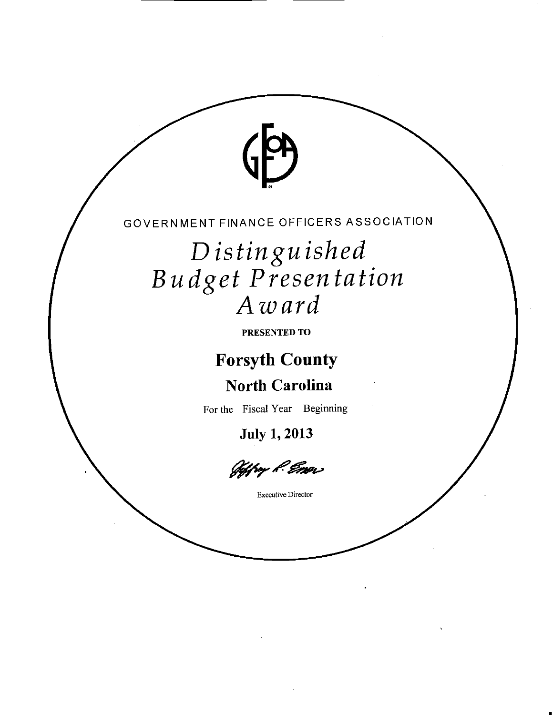

Distinguished Budget Presentation

PRESENTED TO

**Forsyth County** 

**North Carolina** 

For the Fiscal Year Beginning

**July 1, 2013** 

Jeffry P. Emai

**Executive Director**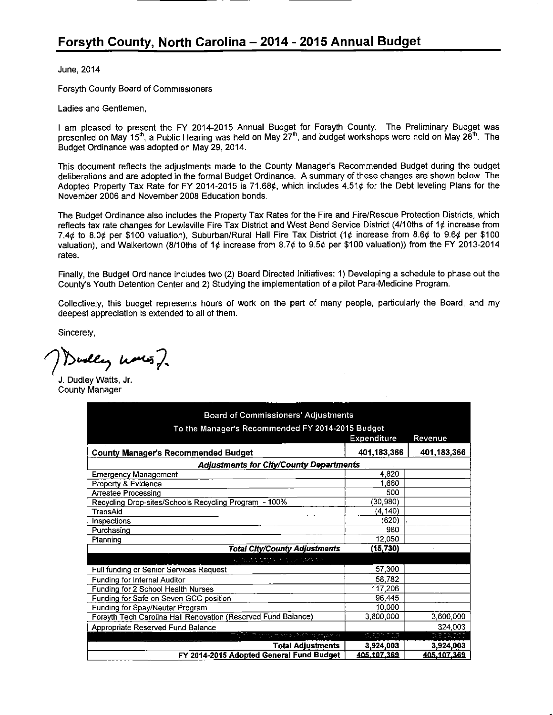June, 2014

Forsyth County Board of Commissioners

Ladies and Gentlemen,

I am pleased to present the FY 2014-2015 Annual Budget for Forsyth County. The Preliminary Budget was presented on May 15<sup>th</sup>, a Public Hearing was held on May 27<sup>th</sup>, and budget workshops were held on May 28<sup>th</sup>. The Budget Ordinance was adopted on May 29, 2014.

This document reflects the adjustments made to the County Manager's Recommended Budget during the budget deliberations and are adopted in the formal Budget Ordinance. A summary of these changes are shown below. The Adopted Property Tax Rate for FY 2014-2015 is 71.68¢, which includes 4.51¢ for the Debt leveling Plans for the November 2006 and November 2008 Education bonds.

The Budget Ordinance also includes the Property Tax Rates for the Fire and Fire/Rescue Protection Districts, which reflects tax rate changes for Lewisville Fire Tax District and West Bend Service District (4/10ths of 1¢ increase from 7.4¢ to 8.0¢ per \$100 valuation), Suburban/Rural Hall Fire Tax District (1¢ increase from 8.6¢ to 9.6¢ per \$100 valuation), and Walkertown (8/10ths of 1¢ increase from 8.7¢ to 9.5¢ per \$100 valuation)) from the FY 2013-2014 rates.

Finally, the Budget Ordinance includes two (2) Board Directed Initiatives: 1) Developing a schedule to phase out the County's Youth Detention Center and 2) Studying the implementation of a pilot Para-Medicine Program.

Collectively, this budget represents hours of work on the part of many people, particularly the Board, and my deepest appreciation is extended to all of them.

Sincerely.

welly haves,

J. Dudley Watts, Jr. **County Manager** 

| <b>Board of Commissioners' Adjustments</b>                    |                    |             |  |  |
|---------------------------------------------------------------|--------------------|-------------|--|--|
| To the Manager's Recommended FY 2014-2015 Budget              |                    |             |  |  |
|                                                               | <b>Expenditure</b> | Revenue     |  |  |
| <b>County Manager's Recommended Budget</b>                    | 401,183,366        | 401,183,366 |  |  |
| <b>Adjustments for City/County Departments</b>                |                    |             |  |  |
| <b>Emergency Management</b>                                   | 4.820              |             |  |  |
| Property & Evidence                                           | 1,660              |             |  |  |
| Arrestee Processing                                           | 500                |             |  |  |
| Recycling Drop-sites/Schools Recycling Program - 100%         | (30, 980)          |             |  |  |
| TransAid                                                      | (4, 140)           |             |  |  |
| Inspections                                                   | (620)              |             |  |  |
| Purchasing                                                    | 980                |             |  |  |
| Planning                                                      | 12,050             |             |  |  |
| <b>Total City/County Adjustments</b>                          | (15, 730)          |             |  |  |
| Vincentes d'ille canda                                        |                    |             |  |  |
| Full funding of Senior Services Request                       | 57,300             |             |  |  |
| Funding for Internal Auditor                                  | 58,782             |             |  |  |
| Funding for 2 School Health Nurses                            | 117,206            |             |  |  |
| Funding for Safe on Seven GCC position                        | 96,445             |             |  |  |
| Funding for Spay/Neuter Program                               | 10,000             |             |  |  |
| Forsyth Tech Carolina Hall Renovation (Reserved Fund Balance) | 3,600,000          | 3,600,000   |  |  |
| Appropriate Reserved Fund Balance                             |                    | 324,003     |  |  |
| is in married                                                 | a tengta           | 3.324.009   |  |  |
| <b>Total Adjustments</b>                                      | 3,924,003          | 3,924,003   |  |  |
| FY 2014-2015 Adopted General Fund Budget                      | 405,107,369        | 405,107,369 |  |  |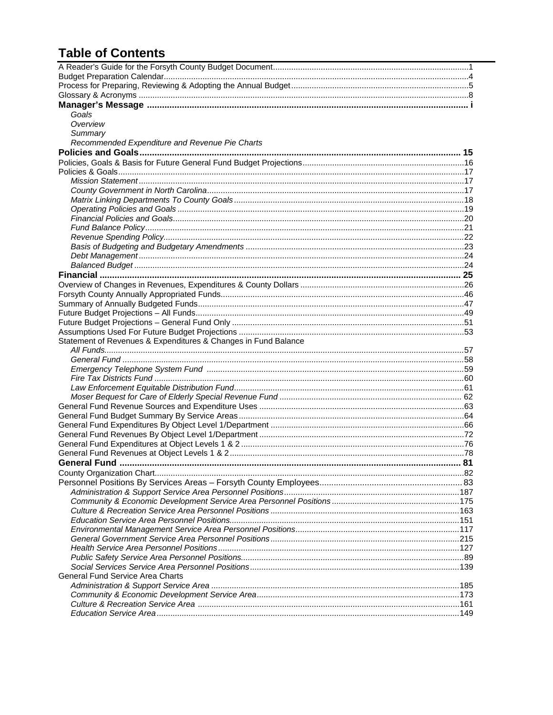# **Table of Contents**

| Goals                                                          |  |
|----------------------------------------------------------------|--|
| Overview                                                       |  |
| Summary                                                        |  |
| Recommended Expenditure and Revenue Pie Charts                 |  |
|                                                                |  |
|                                                                |  |
|                                                                |  |
|                                                                |  |
|                                                                |  |
|                                                                |  |
|                                                                |  |
|                                                                |  |
|                                                                |  |
|                                                                |  |
|                                                                |  |
|                                                                |  |
|                                                                |  |
|                                                                |  |
|                                                                |  |
|                                                                |  |
|                                                                |  |
|                                                                |  |
|                                                                |  |
|                                                                |  |
| Statement of Revenues & Expenditures & Changes in Fund Balance |  |
|                                                                |  |
|                                                                |  |
|                                                                |  |
|                                                                |  |
|                                                                |  |
|                                                                |  |
|                                                                |  |
|                                                                |  |
|                                                                |  |
|                                                                |  |
|                                                                |  |
|                                                                |  |
|                                                                |  |
|                                                                |  |
|                                                                |  |
|                                                                |  |
|                                                                |  |
|                                                                |  |
|                                                                |  |
|                                                                |  |
|                                                                |  |
|                                                                |  |
|                                                                |  |
| General Fund Service Area Charts                               |  |
|                                                                |  |
|                                                                |  |
|                                                                |  |
|                                                                |  |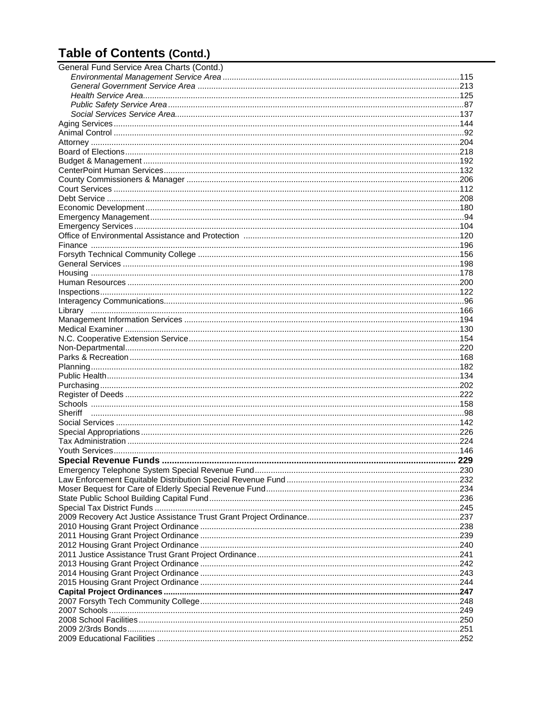# **Table of Contents (Contd.)**

| General Fund Service Area Charts (Contd.) |  |
|-------------------------------------------|--|
|                                           |  |
|                                           |  |
|                                           |  |
|                                           |  |
|                                           |  |
|                                           |  |
|                                           |  |
|                                           |  |
|                                           |  |
|                                           |  |
|                                           |  |
|                                           |  |
|                                           |  |
|                                           |  |
|                                           |  |
|                                           |  |
|                                           |  |
|                                           |  |
|                                           |  |
|                                           |  |
|                                           |  |
|                                           |  |
|                                           |  |
|                                           |  |
|                                           |  |
|                                           |  |
|                                           |  |
|                                           |  |
|                                           |  |
|                                           |  |
|                                           |  |
|                                           |  |
|                                           |  |
|                                           |  |
|                                           |  |
|                                           |  |
|                                           |  |
|                                           |  |
|                                           |  |
|                                           |  |
|                                           |  |
|                                           |  |
|                                           |  |
|                                           |  |
|                                           |  |
|                                           |  |
|                                           |  |
|                                           |  |
|                                           |  |
|                                           |  |
|                                           |  |
|                                           |  |
|                                           |  |
|                                           |  |
|                                           |  |
|                                           |  |
|                                           |  |
|                                           |  |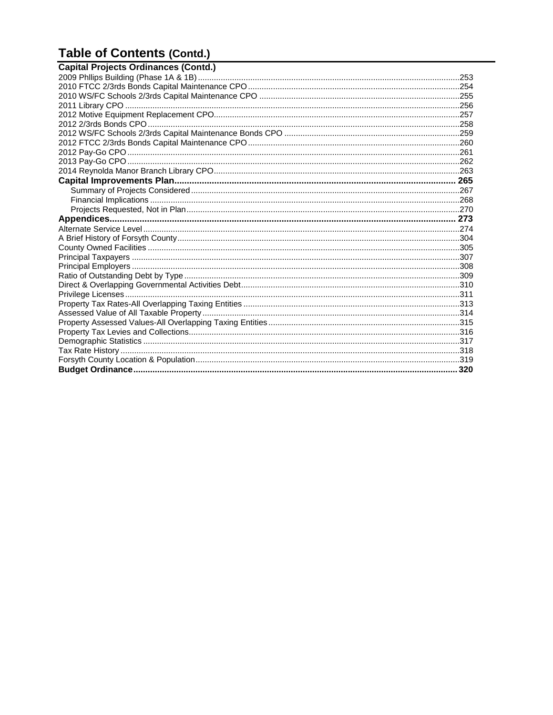# **Table of Contents (Contd.)**

| <b>Capital Projects Ordinances (Contd.)</b> |  |
|---------------------------------------------|--|
|                                             |  |
|                                             |  |
|                                             |  |
|                                             |  |
|                                             |  |
|                                             |  |
|                                             |  |
|                                             |  |
|                                             |  |
|                                             |  |
|                                             |  |
|                                             |  |
|                                             |  |
|                                             |  |
|                                             |  |
|                                             |  |
|                                             |  |
|                                             |  |
|                                             |  |
|                                             |  |
|                                             |  |
|                                             |  |
|                                             |  |
|                                             |  |
|                                             |  |
|                                             |  |
|                                             |  |
|                                             |  |
|                                             |  |
|                                             |  |
|                                             |  |
|                                             |  |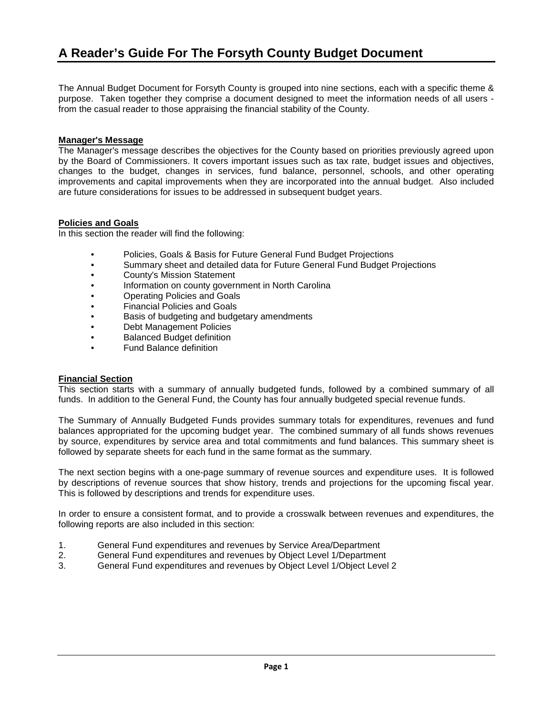The Annual Budget Document for Forsyth County is grouped into nine sections, each with a specific theme & purpose. Taken together they comprise a document designed to meet the information needs of all users from the casual reader to those appraising the financial stability of the County.

# **Manager's Message**

The Manager's message describes the objectives for the County based on priorities previously agreed upon by the Board of Commissioners. It covers important issues such as tax rate, budget issues and objectives, changes to the budget, changes in services, fund balance, personnel, schools, and other operating improvements and capital improvements when they are incorporated into the annual budget. Also included are future considerations for issues to be addressed in subsequent budget years.

# **Policies and Goals**

In this section the reader will find the following:

- Policies, Goals & Basis for Future General Fund Budget Projections
- Summary sheet and detailed data for Future General Fund Budget Projections
- County's Mission Statement
- Information on county government in North Carolina
- Operating Policies and Goals
- Financial Policies and Goals
- Basis of budgeting and budgetary amendments
- Debt Management Policies
- Balanced Budget definition
- Fund Balance definition

# **Financial Section**

This section starts with a summary of annually budgeted funds, followed by a combined summary of all funds. In addition to the General Fund, the County has four annually budgeted special revenue funds.

The Summary of Annually Budgeted Funds provides summary totals for expenditures, revenues and fund balances appropriated for the upcoming budget year. The combined summary of all funds shows revenues by source, expenditures by service area and total commitments and fund balances. This summary sheet is followed by separate sheets for each fund in the same format as the summary.

The next section begins with a one-page summary of revenue sources and expenditure uses. It is followed by descriptions of revenue sources that show history, trends and projections for the upcoming fiscal year. This is followed by descriptions and trends for expenditure uses.

In order to ensure a consistent format, and to provide a crosswalk between revenues and expenditures, the following reports are also included in this section:

- 1. General Fund expenditures and revenues by Service Area/Department
- 2. General Fund expenditures and revenues by Object Level 1/Department
- 3. General Fund expenditures and revenues by Object Level 1/Object Level 2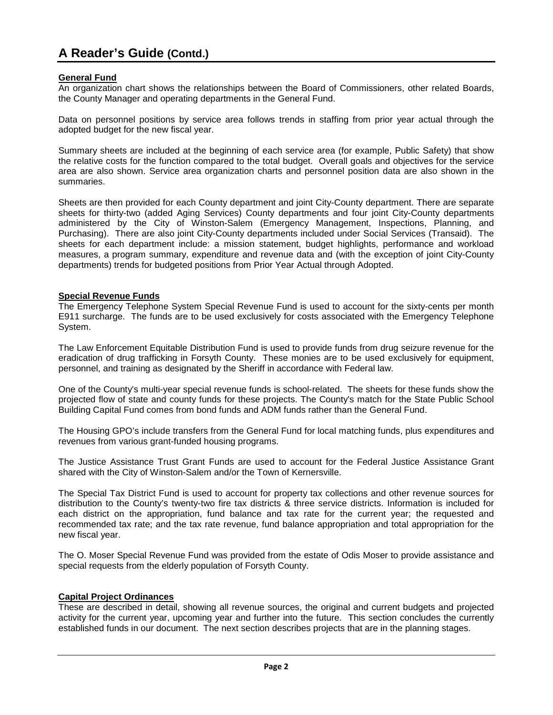# **A Reader's Guide (Contd.)**

### **General Fund**

An organization chart shows the relationships between the Board of Commissioners, other related Boards, the County Manager and operating departments in the General Fund.

Data on personnel positions by service area follows trends in staffing from prior year actual through the adopted budget for the new fiscal year.

Summary sheets are included at the beginning of each service area (for example, Public Safety) that show the relative costs for the function compared to the total budget. Overall goals and objectives for the service area are also shown. Service area organization charts and personnel position data are also shown in the summaries.

Sheets are then provided for each County department and joint City-County department. There are separate sheets for thirty-two (added Aging Services) County departments and four joint City-County departments administered by the City of Winston-Salem (Emergency Management, Inspections, Planning, and Purchasing). There are also joint City-County departments included under Social Services (Transaid). The sheets for each department include: a mission statement, budget highlights, performance and workload measures, a program summary, expenditure and revenue data and (with the exception of joint City-County departments) trends for budgeted positions from Prior Year Actual through Adopted.

### **Special Revenue Funds**

The Emergency Telephone System Special Revenue Fund is used to account for the sixty-cents per month E911 surcharge. The funds are to be used exclusively for costs associated with the Emergency Telephone System.

The Law Enforcement Equitable Distribution Fund is used to provide funds from drug seizure revenue for the eradication of drug trafficking in Forsyth County. These monies are to be used exclusively for equipment, personnel, and training as designated by the Sheriff in accordance with Federal law.

One of the County's multi-year special revenue funds is school-related. The sheets for these funds show the projected flow of state and county funds for these projects. The County's match for the State Public School Building Capital Fund comes from bond funds and ADM funds rather than the General Fund.

The Housing GPO's include transfers from the General Fund for local matching funds, plus expenditures and revenues from various grant-funded housing programs.

The Justice Assistance Trust Grant Funds are used to account for the Federal Justice Assistance Grant shared with the City of Winston-Salem and/or the Town of Kernersville.

The Special Tax District Fund is used to account for property tax collections and other revenue sources for distribution to the County's twenty-two fire tax districts & three service districts. Information is included for each district on the appropriation, fund balance and tax rate for the current year; the requested and recommended tax rate; and the tax rate revenue, fund balance appropriation and total appropriation for the new fiscal year.

The O. Moser Special Revenue Fund was provided from the estate of Odis Moser to provide assistance and special requests from the elderly population of Forsyth County.

### **Capital Project Ordinances**

These are described in detail, showing all revenue sources, the original and current budgets and projected activity for the current year, upcoming year and further into the future. This section concludes the currently established funds in our document. The next section describes projects that are in the planning stages.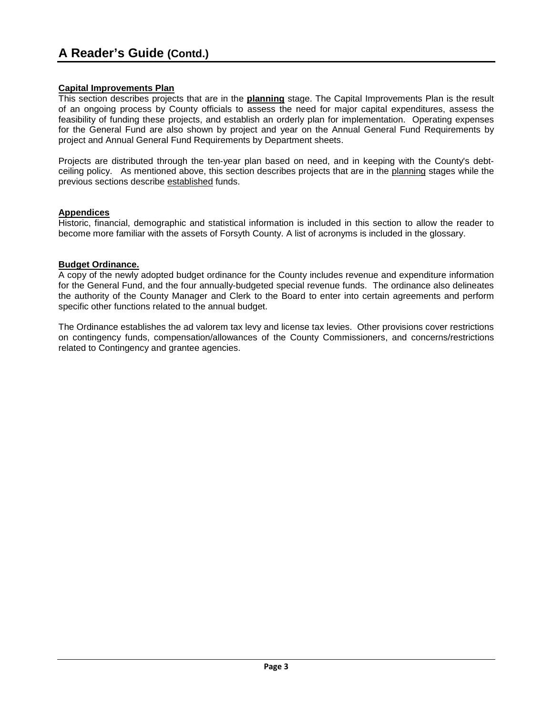# **Capital Improvements Plan**

This section describes projects that are in the **planning** stage. The Capital Improvements Plan is the result of an ongoing process by County officials to assess the need for major capital expenditures, assess the feasibility of funding these projects, and establish an orderly plan for implementation. Operating expenses for the General Fund are also shown by project and year on the Annual General Fund Requirements by project and Annual General Fund Requirements by Department sheets.

Projects are distributed through the ten-year plan based on need, and in keeping with the County's debtceiling policy. As mentioned above, this section describes projects that are in the planning stages while the previous sections describe established funds.

# **Appendices**

Historic, financial, demographic and statistical information is included in this section to allow the reader to become more familiar with the assets of Forsyth County. A list of acronyms is included in the glossary.

### **Budget Ordinance.**

A copy of the newly adopted budget ordinance for the County includes revenue and expenditure information for the General Fund, and the four annually-budgeted special revenue funds. The ordinance also delineates the authority of the County Manager and Clerk to the Board to enter into certain agreements and perform specific other functions related to the annual budget.

The Ordinance establishes the ad valorem tax levy and license tax levies. Other provisions cover restrictions on contingency funds, compensation/allowances of the County Commissioners, and concerns/restrictions related to Contingency and grantee agencies.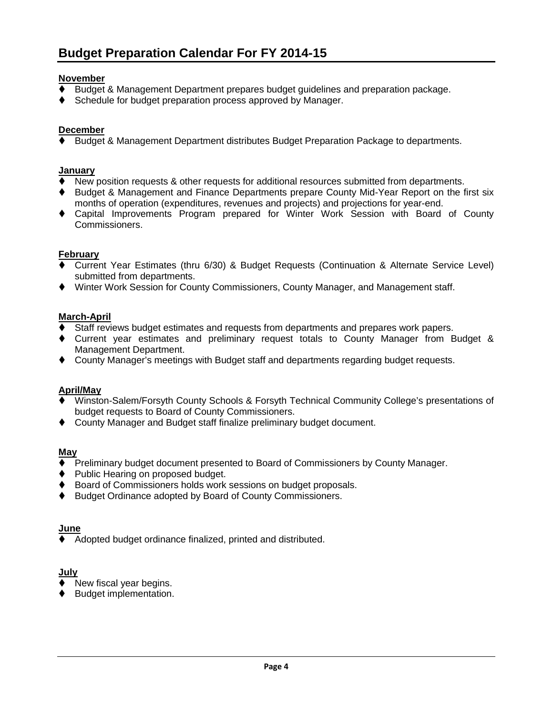# **November**

- Budget & Management Department prepares budget guidelines and preparation package.
- ♦ Schedule for budget preparation process approved by Manager.

# **December**

Budget & Management Department distributes Budget Preparation Package to departments.

### **January**

- New position requests & other requests for additional resources submitted from departments.
- Budget & Management and Finance Departments prepare County Mid-Year Report on the first six months of operation (expenditures, revenues and projects) and projections for year-end.
- Capital Improvements Program prepared for Winter Work Session with Board of County Commissioners.

### **February**

- Current Year Estimates (thru 6/30) & Budget Requests (Continuation & Alternate Service Level) submitted from departments.
- Winter Work Session for County Commissioners, County Manager, and Management staff.

### **March-April**

- Staff reviews budget estimates and requests from departments and prepares work papers.
- Current year estimates and preliminary request totals to County Manager from Budget & Management Department.
- County Manager's meetings with Budget staff and departments regarding budget requests.

### **April/May**

- Winston-Salem/Forsyth County Schools & Forsyth Technical Community College's presentations of budget requests to Board of County Commissioners.
- County Manager and Budget staff finalize preliminary budget document.

### **May**

- Preliminary budget document presented to Board of Commissioners by County Manager.
- **Public Hearing on proposed budget.**
- ♦ Board of Commissioners holds work sessions on budget proposals.
- ♦ Budget Ordinance adopted by Board of County Commissioners.

### **June**

Adopted budget ordinance finalized, printed and distributed.

### **July**

- New fiscal year begins.
- ♦ Budget implementation.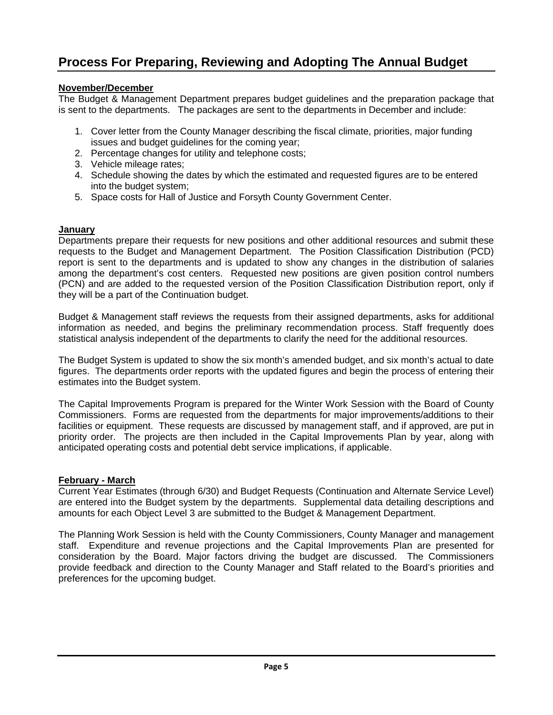# **Process For Preparing, Reviewing and Adopting The Annual Budget**

# **November/December**

The Budget & Management Department prepares budget guidelines and the preparation package that is sent to the departments. The packages are sent to the departments in December and include:

- 1. Cover letter from the County Manager describing the fiscal climate, priorities, major funding issues and budget guidelines for the coming year;
- 2. Percentage changes for utility and telephone costs;
- 3. Vehicle mileage rates;
- 4. Schedule showing the dates by which the estimated and requested figures are to be entered into the budget system;
- 5. Space costs for Hall of Justice and Forsyth County Government Center.

# **January**

Departments prepare their requests for new positions and other additional resources and submit these requests to the Budget and Management Department. The Position Classification Distribution (PCD) report is sent to the departments and is updated to show any changes in the distribution of salaries among the department's cost centers. Requested new positions are given position control numbers (PCN) and are added to the requested version of the Position Classification Distribution report, only if they will be a part of the Continuation budget.

Budget & Management staff reviews the requests from their assigned departments, asks for additional information as needed, and begins the preliminary recommendation process. Staff frequently does statistical analysis independent of the departments to clarify the need for the additional resources.

The Budget System is updated to show the six month's amended budget, and six month's actual to date figures. The departments order reports with the updated figures and begin the process of entering their estimates into the Budget system.

The Capital Improvements Program is prepared for the Winter Work Session with the Board of County Commissioners. Forms are requested from the departments for major improvements/additions to their facilities or equipment. These requests are discussed by management staff, and if approved, are put in priority order. The projects are then included in the Capital Improvements Plan by year, along with anticipated operating costs and potential debt service implications, if applicable.

# **February - March**

Current Year Estimates (through 6/30) and Budget Requests (Continuation and Alternate Service Level) are entered into the Budget system by the departments. Supplemental data detailing descriptions and amounts for each Object Level 3 are submitted to the Budget & Management Department.

The Planning Work Session is held with the County Commissioners, County Manager and management staff. Expenditure and revenue projections and the Capital Improvements Plan are presented for consideration by the Board. Major factors driving the budget are discussed. The Commissioners provide feedback and direction to the County Manager and Staff related to the Board's priorities and preferences for the upcoming budget.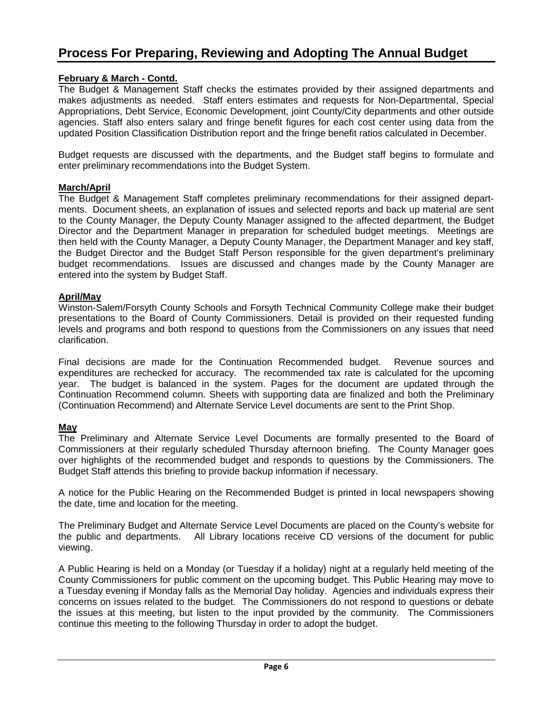# **February & March - Contd.**

The Budget & Management Staff checks the estimates provided by their assigned departments and makes adjustments as needed. Staff enters estimates and requests for Non-Departmental, Special Appropriations, Debt Service, Economic Development, joint County/City departments and other outside agencies. Staff also enters salary and fringe benefit figures for each cost center using data from the updated Position Classification Distribution report and the fringe benefit ratios calculated in December.

Budget requests are discussed with the departments, and the Budget staff begins to formulate and enter preliminary recommendations into the Budget System.

# **March/April**

The Budget & Management Staff completes preliminary recommendations for their assigned departments. Document sheets, an explanation of issues and selected reports and back up material are sent to the County Manager, the Deputy County Manager assigned to the affected department, the Budget Director and the Department Manager in preparation for scheduled budget meetings. Meetings are then held with the County Manager, a Deputy County Manager, the Department Manager and key staff, the Budget Director and the Budget Staff Person responsible for the given department's preliminary budget recommendations. Issues are discussed and changes made by the County Manager are entered into the system by Budget Staff.

# **April/May**

Winston-Salem/Forsyth County Schools and Forsyth Technical Community College make their budget presentations to the Board of County Commissioners. Detail is provided on their requested funding levels and programs and both respond to questions from the Commissioners on any issues that need clarification.

Final decisions are made for the Continuation Recommended budget. Revenue sources and expenditures are rechecked for accuracy. The recommended tax rate is calculated for the upcoming year. The budget is balanced in the system. Pages for the document are updated through the Continuation Recommend column. Sheets with supporting data are finalized and both the Preliminary (Continuation Recommend) and Alternate Service Level documents are sent to the Print Shop.

# **May**

The Preliminary and Alternate Service Level Documents are formally presented to the Board of Commissioners at their regularly scheduled Thursday afternoon briefing. The County Manager goes over highlights of the recommended budget and responds to questions by the Commissioners. The Budget Staff attends this briefing to provide backup information if necessary.

A notice for the Public Hearing on the Recommended Budget is printed in local newspapers showing the date, time and location for the meeting.

The Preliminary Budget and Alternate Service Level Documents are placed on the County's website for the public and departments. All Library locations receive CD versions of the document for public viewing.

A Public Hearing is held on a Monday (or Tuesday if a holiday) night at a regularly held meeting of the County Commissioners for public comment on the upcoming budget. This Public Hearing may move to a Tuesday evening if Monday falls as the Memorial Day holiday. Agencies and individuals express their concerns on issues related to the budget. The Commissioners do not respond to questions or debate the issues at this meeting, but listen to the input provided by the community. The Commissioners continue this meeting to the following Thursday in order to adopt the budget.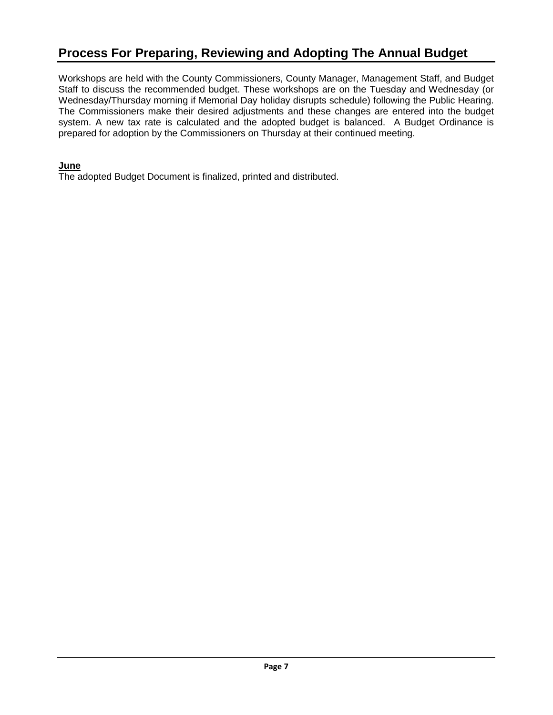# **Process For Preparing, Reviewing and Adopting The Annual Budget**

Workshops are held with the County Commissioners, County Manager, Management Staff, and Budget Staff to discuss the recommended budget. These workshops are on the Tuesday and Wednesday (or Wednesday/Thursday morning if Memorial Day holiday disrupts schedule) following the Public Hearing. The Commissioners make their desired adjustments and these changes are entered into the budget system. A new tax rate is calculated and the adopted budget is balanced. A Budget Ordinance is prepared for adoption by the Commissioners on Thursday at their continued meeting.

# **June**

The adopted Budget Document is finalized, printed and distributed.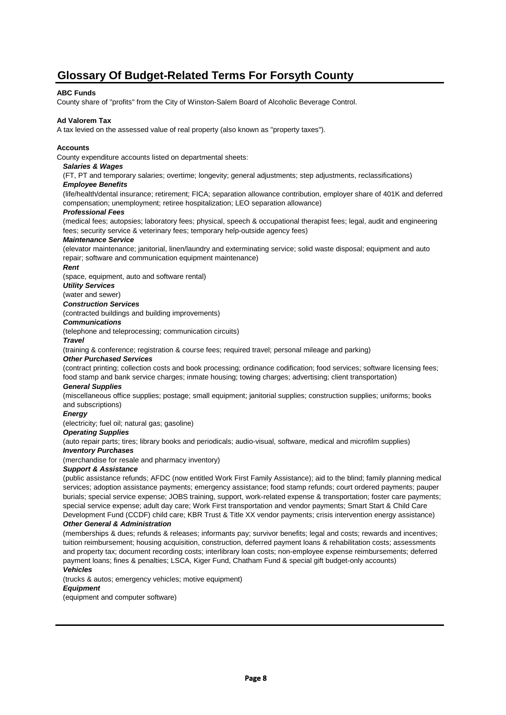# **Glossary Of Budget-Related Terms For Forsyth County**

#### **ABC Funds**

County share of "profits" from the City of Winston-Salem Board of Alcoholic Beverage Control.

#### **Ad Valorem Tax**

A tax levied on the assessed value of real property (also known as "property taxes").

#### **Accounts**

County expenditure accounts listed on departmental sheets:

#### *Salaries & Wages*

(FT, PT and temporary salaries; overtime; longevity; general adjustments; step adjustments, reclassifications) *Employee Benefits*

(life/health/dental insurance; retirement; FICA; separation allowance contribution, employer share of 401K and deferred compensation; unemployment; retiree hospitalization; LEO separation allowance)

#### *Professional Fees*

(medical fees; autopsies; laboratory fees; physical, speech & occupational therapist fees; legal, audit and engineering fees; security service & veterinary fees; temporary help-outside agency fees)

#### *Maintenance Service*

(elevator maintenance; janitorial, linen/laundry and exterminating service; solid waste disposal; equipment and auto repair; software and communication equipment maintenance)

#### *Rent*

(space, equipment, auto and software rental)

#### *Utility Services*

(water and sewer)

### *Construction Services*

(contracted buildings and building improvements)

#### *Communications*

(telephone and teleprocessing; communication circuits)

#### *Travel*

(training & conference; registration & course fees; required travel; personal mileage and parking)

#### *Other Purchased Services*

(contract printing; collection costs and book processing; ordinance codification; food services; software licensing fees; food stamp and bank service charges; inmate housing; towing charges; advertising; client transportation)

#### *General Supplies*

(miscellaneous office supplies; postage; small equipment; janitorial supplies; construction supplies; uniforms; books and subscriptions)

#### *Energy*

(electricity; fuel oil; natural gas; gasoline)

#### *Operating Supplies*

(auto repair parts; tires; library books and periodicals; audio-visual, software, medical and microfilm supplies)

#### *Inventory Purchases*

(merchandise for resale and pharmacy inventory)

#### *Support & Assistance*

(public assistance refunds; AFDC (now entitled Work First Family Assistance); aid to the blind; family planning medical services; adoption assistance payments; emergency assistance; food stamp refunds; court ordered payments; pauper burials; special service expense; JOBS training, support, work-related expense & transportation; foster care payments; special service expense; adult day care; Work First transportation and vendor payments; Smart Start & Child Care Development Fund (CCDF) child care; KBR Trust & Title XX vendor payments; crisis intervention energy assistance)

#### *Other General & Administration*

(memberships & dues; refunds & releases; informants pay; survivor benefits; legal and costs; rewards and incentives; tuition reimbursement; housing acquisition, construction, deferred payment loans & rehabilitation costs; assessments and property tax; document recording costs; interlibrary loan costs; non-employee expense reimbursements; deferred payment loans; fines & penalties; LSCA, Kiger Fund, Chatham Fund & special gift budget-only accounts) *Vehicles*

(trucks & autos; emergency vehicles; motive equipment)

#### *Equipment*

(equipment and computer software)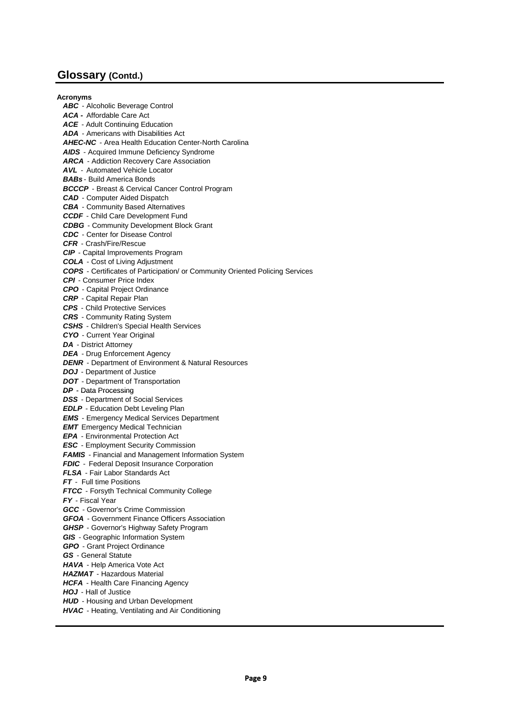**Acronyms**

*ABC* - Alcoholic Beverage Control *ACA -* Affordable Care Act *ACE* - Adult Continuing Education *ADA* - Americans with Disabilities Act *AHEC-NC* - Area Health Education Center-North Carolina *AIDS* - Acquired Immune Deficiency Syndrome *ARCA* - Addiction Recovery Care Association *AVL -* Automated Vehicle Locator *BABs* - Build America Bonds *BCCCP* - Breast & Cervical Cancer Control Program *CAD* - Computer Aided Dispatch *CBA* - Community Based Alternatives *CCDF* - Child Care Development Fund *CDBG* - Community Development Block Grant *CDC* - Center for Disease Control *CFR* - Crash/Fire/Rescue *CIP* - Capital Improvements Program *COLA* - Cost of Living Adjustment *COPS* - Certificates of Participation/ or Community Oriented Policing Services *CPI* - Consumer Price Index *CPO* - Capital Project Ordinance *CRP* - Capital Repair Plan *CPS* - Child Protective Services *CRS* - Community Rating System *CSHS* - Children's Special Health Services *CYO* - Current Year Original *DA* - District Attorney *DEA* - Drug Enforcement Agency *DENR* - Department of Environment & Natural Resources *DOJ* - Department of Justice *DOT* - Department of Transportation *DP* - Data Processing *DSS* - Department of Social Services **EDLP** - Education Debt Leveling Plan *EMS* - Emergency Medical Services Department *EMT* Emergency Medical Technician *EPA* - Environmental Protection Act *ESC* - Employment Security Commission **FAMIS** - Financial and Management Information System **FDIC** - Federal Deposit Insurance Corporation *FLSA* - Fair Labor Standards Act *FT* - Full time Positions *FTCC* - Forsyth Technical Community College *FY* - Fiscal Year *GCC* - Governor's Crime Commission *GFOA* - Government Finance Officers Association *GHSP* - Governor's Highway Safety Program *GIS* - Geographic Information System *GPO* - Grant Project Ordinance *GS* - General Statute *HAVA* - Help America Vote Act *HAZMAT* - Hazardous Material *HCFA* - Health Care Financing Agency *HOJ* - Hall of Justice *HUD* - Housing and Urban Development *HVAC* - Heating, Ventilating and Air Conditioning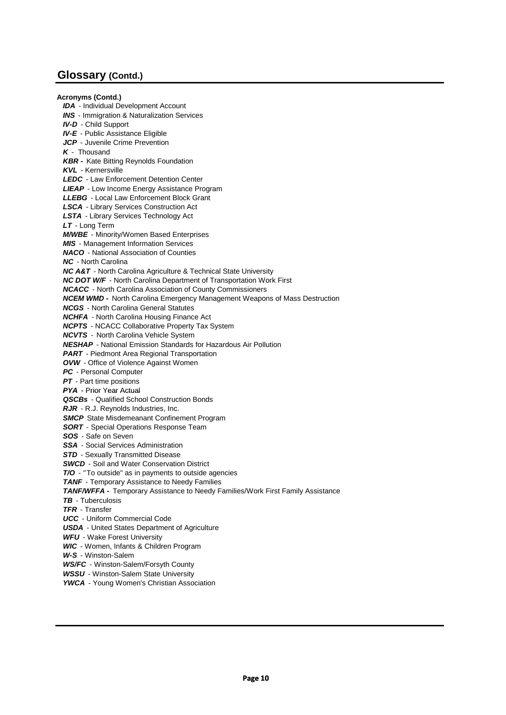**Acronyms (Contd.)** *IDA* - Individual Development Account *INS* - Immigration & Naturalization Services *IV-D* - Child Support *IV-E* - Public Assistance Eligible *JCP* - Juvenile Crime Prevention *K* - Thousand *KBR -* Kate Bitting Reynolds Foundation *KVL* - Kernersville *LEDC* - Law Enforcement Detention Center *LIEAP* - Low Income Energy Assistance Program *LLEBG* - Local Law Enforcement Block Grant *LSCA* - Library Services Construction Act *LSTA* - Library Services Technology Act *LT* - Long Term *M/WBE* - Minority/Women Based Enterprises *MIS* - Management Information Services *NACO* - National Association of Counties *NC* - North Carolina *NC A&T* - North Carolina Agriculture & Technical State University *NC DOT W/F* - North Carolina Department of Transportation Work First *NCACC* - North Carolina Association of County Commissioners *NCEM WMD -* North Carolina Emergency Management Weapons of Mass Destruction *NCGS* - North Carolina General Statutes *NCHFA* - North Carolina Housing Finance Act *NCPTS* - NCACC Collaborative Property Tax System *NCVTS -* North Carolina Vehicle System *NESHAP* - National Emission Standards for Hazardous Air Pollution *PART* - Piedmont Area Regional Transportation *OVW* - Office of Violence Against Women *PC* - Personal Computer *PT* - Part time positions *PYA* - Prior Year Actual *QSCBs* - Qualified School Construction Bonds *RJR* - R.J. Reynolds Industries, Inc. **SMCP** State Misdemeanant Confinement Program *SORT* - Special Operations Response Team *SOS* - Safe on Seven *SSA* - Social Services Administration **STD** - Sexually Transmitted Disease *SWCD* - Soil and Water Conservation District *T/O - "* To outside" as in payments to outside agencies **TANF** - Temporary Assistance to Needy Families *TANF/WFFA -* Temporary Assistance to Needy Families/Work First Family Assistance *TB* - Tuberculosis *TFR* - Transfer *UCC* - Uniform Commercial Code *USDA* - United States Department of Agriculture *WFU* - Wake Forest University *WIC* - Women, Infants & Children Program *W-S* - Winston-Salem *WS/FC* - Winston-Salem/Forsyth County *WSSU* - Winston-Salem State University *YWCA* - Young Women's Christian Association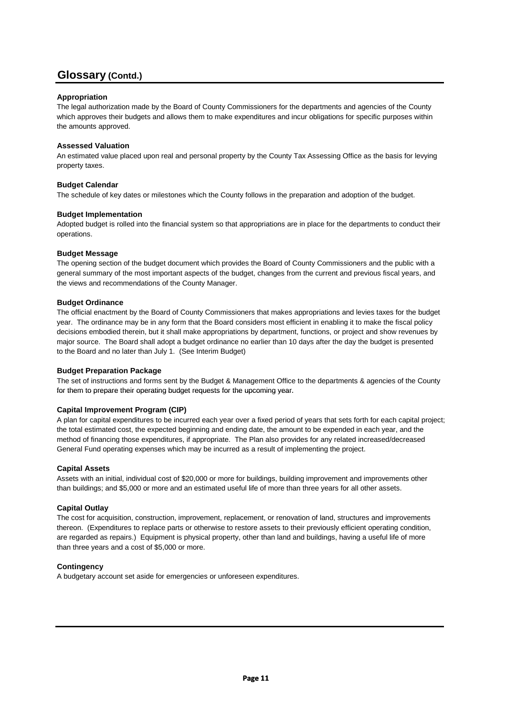### **Appropriation**

The legal authorization made by the Board of County Commissioners for the departments and agencies of the County which approves their budgets and allows them to make expenditures and incur obligations for specific purposes within the amounts approved.

### **Assessed Valuation**

An estimated value placed upon real and personal property by the County Tax Assessing Office as the basis for levying property taxes.

### **Budget Calendar**

The schedule of key dates or milestones which the County follows in the preparation and adoption of the budget.

#### **Budget Implementation**

Adopted budget is rolled into the financial system so that appropriations are in place for the departments to conduct their operations.

#### **Budget Message**

The opening section of the budget document which provides the Board of County Commissioners and the public with a general summary of the most important aspects of the budget, changes from the current and previous fiscal years, and the views and recommendations of the County Manager.

#### **Budget Ordinance**

The official enactment by the Board of County Commissioners that makes appropriations and levies taxes for the budget year. The ordinance may be in any form that the Board considers most efficient in enabling it to make the fiscal policy decisions embodied therein, but it shall make appropriations by department, functions, or project and show revenues by major source. The Board shall adopt a budget ordinance no earlier than 10 days after the day the budget is presented to the Board and no later than July 1. (See Interim Budget)

#### **Budget Preparation Package**

The set of instructions and forms sent by the Budget & Management Office to the departments & agencies of the County for them to prepare their operating budget requests for the upcoming year.

### **Capital Improvement Program (CIP)**

A plan for capital expenditures to be incurred each year over a fixed period of years that sets forth for each capital project; the total estimated cost, the expected beginning and ending date, the amount to be expended in each year, and the method of financing those expenditures, if appropriate. The Plan also provides for any related increased/decreased General Fund operating expenses which may be incurred as a result of implementing the project.

#### **Capital Assets**

Assets with an initial, individual cost of \$20,000 or more for buildings, building improvement and improvements other than buildings; and \$5,000 or more and an estimated useful life of more than three years for all other assets.

### **Capital Outlay**

The cost for acquisition, construction, improvement, replacement, or renovation of land, structures and improvements thereon. (Expenditures to replace parts or otherwise to restore assets to their previously efficient operating condition, are regarded as repairs.) Equipment is physical property, other than land and buildings, having a useful life of more than three years and a cost of \$5,000 or more.

#### **Contingency**

A budgetary account set aside for emergencies or unforeseen expenditures.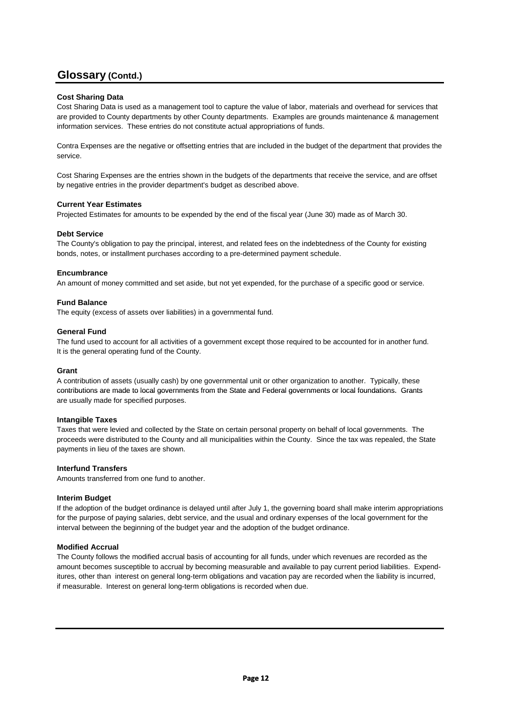### **Cost Sharing Data**

Cost Sharing Data is used as a management tool to capture the value of labor, materials and overhead for services that are provided to County departments by other County departments. Examples are grounds maintenance & management information services. These entries do not constitute actual appropriations of funds.

Contra Expenses are the negative or offsetting entries that are included in the budget of the department that provides the service.

Cost Sharing Expenses are the entries shown in the budgets of the departments that receive the service, and are offset by negative entries in the provider department's budget as described above.

#### **Current Year Estimates**

Projected Estimates for amounts to be expended by the end of the fiscal year (June 30) made as of March 30.

#### **Debt Service**

The County's obligation to pay the principal, interest, and related fees on the indebtedness of the County for existing bonds, notes, or installment purchases according to a pre-determined payment schedule.

#### **Encumbrance**

An amount of money committed and set aside, but not yet expended, for the purchase of a specific good or service.

#### **Fund Balance**

The equity (excess of assets over liabilities) in a governmental fund.

#### **General Fund**

The fund used to account for all activities of a government except those required to be accounted for in another fund. It is the general operating fund of the County.

#### **Grant**

A contribution of assets (usually cash) by one governmental unit or other organization to another. Typically, these contributions are made to local governments from the State and Federal governments or local foundations. Grants are usually made for specified purposes.

#### **Intangible Taxes**

Taxes that were levied and collected by the State on certain personal property on behalf of local governments. The proceeds were distributed to the County and all municipalities within the County. Since the tax was repealed, the State payments in lieu of the taxes are shown.

#### **Interfund Transfers**

Amounts transferred from one fund to another.

#### **Interim Budget**

If the adoption of the budget ordinance is delayed until after July 1, the governing board shall make interim appropriations for the purpose of paying salaries, debt service, and the usual and ordinary expenses of the local government for the interval between the beginning of the budget year and the adoption of the budget ordinance.

#### **Modified Accrual**

The County follows the modified accrual basis of accounting for all funds, under which revenues are recorded as the amount becomes susceptible to accrual by becoming measurable and available to pay current period liabilities. Expenditures, other than interest on general long-term obligations and vacation pay are recorded when the liability is incurred, if measurable. Interest on general long-term obligations is recorded when due.